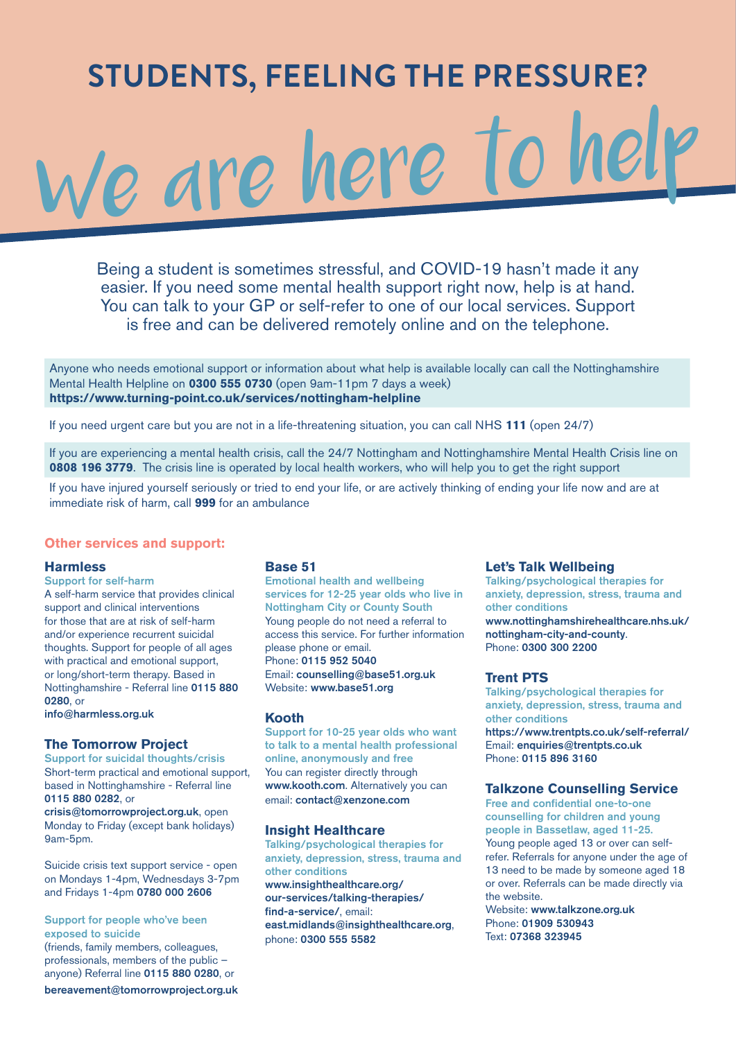# **STUDENTS, FEELING THE PRESSURE?**  We are here to help

Being a student is sometimes stressful, and COVID-19 hasn't made it any easier. If you need some mental health support right now, help is at hand. You can talk to your GP or self-refer to one of our local services. Support is free and can be delivered remotely online and on the telephone.

Anyone who needs emotional support or information about what help is available locally can call the Nottinghamshire Mental Health Helpline on **0300 555 0730** (open 9am-11pm 7 days a week) **https://www.turning-point.co.uk/services/nottingham-helpline**

If you need urgent care but you are not in a life-threatening situation, you can call NHS **111** (open 24/7)

If you are experiencing a mental health crisis, call the 24/7 Nottingham and Nottinghamshire Mental Health Crisis line on **0808 196 3779.** The crisis line is operated by local health workers, who will help you to get the right support

If you have injured yourself seriously or tried to end your life, or are actively thinking of ending your life now and are at immediate risk of harm, call **999** for an ambulance

## **Other services and support:**

#### **Harmless**

Support for self-harm A self-harm service that provides clinical support and clinical interventions for those that are at risk of self-harm and/or experience recurrent suicidal thoughts. Support for people of all ages with practical and emotional support, or long/short-term therapy. Based in Nottinghamshire - Referral line 0115 880 0280, or

info@harmless.org.uk

#### **The Tomorrow Project**

Support for suicidal thoughts/crisis Short-term practical and emotional support, based in Nottinghamshire - Referral line 0115 880 0282, or

crisis@tomorrowproject.org.uk, open Monday to Friday (except bank holidays) 9am-5pm.

Suicide crisis text support service - open on Mondays 1-4pm, Wednesdays 3-7pm and Fridays 1-4pm 0780 000 2606

Support for people who've been exposed to suicide

(friends, family members, colleagues, professionals, members of the public – anyone) Referral line 0115 880 0280, or

bereavement@tomorrowproject.org.uk

## **Base 51**

Emotional health and wellbeing services for 12-25 year olds who live in Nottingham City or County South Young people do not need a referral to access this service. For further information please phone or email. Phone: 0115 952 5040 Email: counselling@base51.org.uk Website: www.base51.org

#### **Kooth**

Support for 10-25 year olds who want to talk to a mental health professional online, anonymously and free You can register directly through www.kooth.com. Alternatively you can email: contact@xenzone.com

#### **Insight Healthcare**

Talking/psychological therapies for anxiety, depression, stress, trauma and other conditions www.insighthealthcare.org/ our-services/talking-therapies/ find-a-service/, email: east.midlands@insighthealthcare.org, phone: 0300 555 5582

#### **Let's Talk Wellbeing**

Talking/psychological therapies for anxiety, depression, stress, trauma and other conditions www.nottinghamshirehealthcare.nhs.uk/ nottingham-city-and-county. Phone: 0300 300 2200

#### **Trent PTS**

Talking/psychological therapies for anxiety, depression, stress, trauma and other conditions

https://www.trentpts.co.uk/self-referral/ Email: enquiries@trentpts.co.uk Phone: 0115 896 3160

### **Talkzone Counselling Service**

Free and confidential one-to-one counselling for children and young people in Bassetlaw, aged 11-25. Young people aged 13 or over can selfrefer. Referrals for anyone under the age of 13 need to be made by someone aged 18 or over. Referrals can be made directly via the website.

Website: www.talkzone.org.uk Phone: 01909 530943 Text: 07368 323945